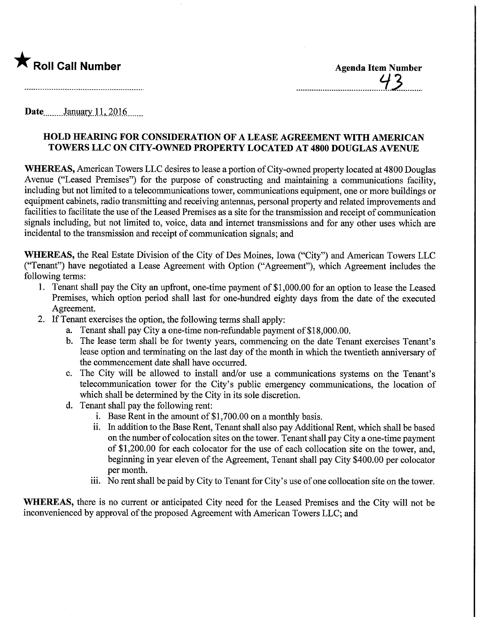

 $\bigstar$  Roll Call Number Agenda Item Number  $43$ 

Date.........January.11, 2016......

### HOLD HEAMNG FOR CONSIDERATION OF A LEASE AGREEMENT WITH AMEMCAN TOWERS LLC ON CITY-OWNED PROPERTY LOCATED AT 4800 DOUGLAS AVENUE

WHEREAS, American Towers LLC desires to lease a portion of City-owned property located at 4800 Douglas Avenue ("Leased Premises") for the purpose of constructing and maintaining a communications facility, including but not limited to a telecommunications tower, communications equipment, one or more buildings or equipment cabinets, radio transmitting and receiving antennas, personal property and related improvements and facilities to facilitate the use of the Leased Premises as a site for the transmission and receipt of communication signals including, but not limited to, voice, data and internet transmissions and for any other uses which are incidental to the transmission and receipt of communication signals; and

WHEREAS, the Real Estate Division of the City of Des Moines, Iowa ("City") and American Towers LLC ("Tenant") have negotiated a Lease Agreement with Option ("Agreement"), which Agreement includes the following terms:

- 1. Tenant shall pay the City an upfront, one-time payment of \$1,000.00 for an option to lease the Leased Premises, which option period shall last for one-hundred eighty days from the date of the executed Agreement.
- 2. If Tenant exercises the option, the following terms shall apply:
	- a. Tenant shall pay City a one-time non-refundable payment of \$18,000.00.
	- b. The lease term shall be for twenty years, commencing on the date Tenant exercises Tenant's lease option and terminating on the last day of the month in which the twentieth anniversary of the commencement date shall have occurred.
	- c. The City will be allowed to install and/or use a communications systems on the Tenant's telecommunication tower for the City's public emergency communications, the location of which shall be determined by the City in its sole discretion.
	- d. Tenant shall pay the following rent:
		- i. Base Rent in the amount of  $$1,700.00$  on a monthly basis.
		- ii. In addition to the Base Rent, Tenant shall also pay Additional Rent, which shall be based on the number of colocation sites on the tower. Tenant shall pay City a one-time payment of \$1,200.00 for each colocator for the use of each collocation site on the tower, and, beginning in year eleven of the Agreement, Tenant shall pay City \$400.00 per colocator per month.
		- iii. No rent shall be paid by City to Tenant for City's use of one collocation site on the tower.

WHEREAS, there is no current or anticipated City need for the Leased Premises and the City will not be inconvenienced by approval of the proposed Agreement with American Towers LLC; and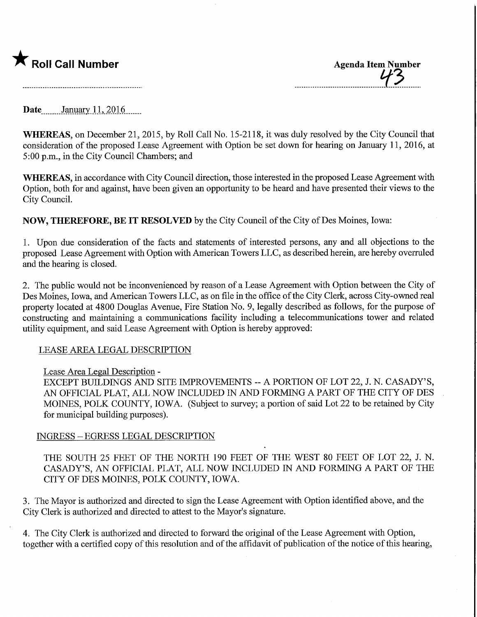## **The Call Number Agenda Item Number Agenda Item Number**

Date<sub>\_\_\_\_\_\_</sub>January 11, 2016 \_\_\_\_

WHEREAS, on December 21, 2015, by Roll Call No. 15-2118, it was duly resolved by the City Council that consideration of the proposed Lease Agreement with Option be set down for hearing on January 11, 2016, at 5:00 p.m., in the City Council Chambers; and

WHEREAS, in accordance with City Council direction, those interested in the proposed Lease Agreement with Option, both for and against, have been given an opportunity to be heard and have presented their views to the City Council.

NOW, THEREFORE, BE IT RESOLVED by the City Council of the City of Des Moines, Iowa:

1. Upon due consideration of the facts and statements of interested persons, any and all objections to the proposed Lease Agreement with Option with American Towers LLC, as described herein, are hereby overruled and the hearing is closed.

2. The public would not be inconvenienced by reason of a Lease Agreement with Option between the City of Des Moines, Iowa, and American Towers LLC, as on file in the office of the City Clerk, across City-owned real property located at 4800 Douglas Avenue, Fire Station No. 9, legally described as follows, for the purpose of constructing and maintaining a communications facility including a telecommunications tower and related utility equipment, and said Lease Agreement with Option is hereby approved:

### LEASE AREA LEGAL DESCRIPTION

### Lease Area Legal Description -

EXCEPT BUILDINGS AND SITE IMPROVEMENTS - A PORTION OF LOT 22, J. N. CASADY'S, AN OFFICIAL PLAT, ALL NOW INCLUDED IN AND FORMING A PART OF THE CITY OF DES MOINES, POLK COUNTY, IOWA. (Subject to survey; a portion of said Lot 22 to be retained by City for municipal building purposes).

### INGRESS - EGRESS LEGAL DESCRIPTION

THE SOUTH 25 FEET OF THE NORTH 190 FEET OF THE WEST 80 FEET OF LOT 22, J. N. CASADY'S, AN OFFICIAL PLAT, ALL NOW INCLUDED IN AND FORMING A PART OF THE CITY OF DES MOINES, POLK COUNTY, IOWA.

3. The Mayor is authorized and directed to sign the Lease Agreement with Option identified above, and the City Clerk is authorized and directed to attest to the Mayor's signature.

4. The City Clerk is authorized and directed to forward the original of the Lease Agreement with Option, together with a certified copy of this resolution and of the affidavit of publication of the notice of this hearing,